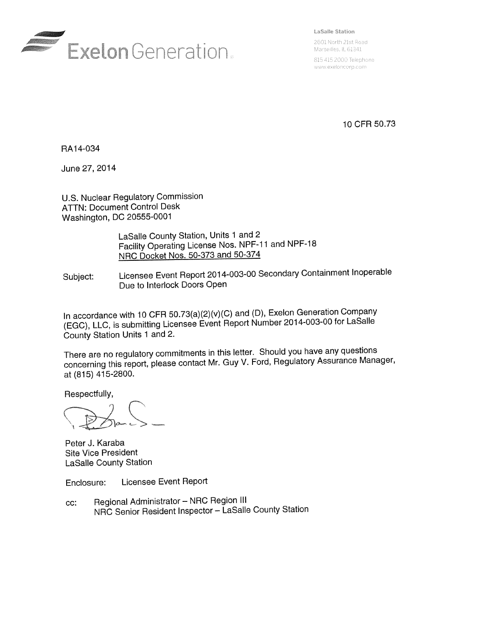

LaSalle Station

2601 North 21st Road Marseilles, IL 61341

815 415 2000 Telephone www.exeloncorp.com

10 CFR 50.73

RA14-034

June 27, 2014

**U.S. Nuclear Regulatory Commission** ATTN: **Document Control Desk Washington, DC 20555-0001**

> LaSalle County Station, Units 1 and 2 Facility Operating License Nos. NPF-11 and NPF-18 NRC Docket Nos. 50-373 and 50-374

Subject: Licensee Event Report 2014-003-00 Secondary Containment Inoperable Due to Interlock Doors Open

In accordance with 10 CFR 50.73(a)(2)(v)(C) and (D), Exelon Generation Company (EGC), LLC, is submitting Licensee Event Report Number 2014-003-00 for LaSalle County Station Units 1 and 2.

There are no regulatory commitments in this letter. Should you have any questions concerning this report, please contact Mr. Guy V. Ford, Regulatory Assurance Manager, at (815) 415-2800.

Respectfully,

Peter J. Karaba Site Vice President LaSalle County Station

Enclosure: Licensee Event Report

cc: Regional Administrator - NRC Region III NRC Senior Resident Inspector - LaSalle County Station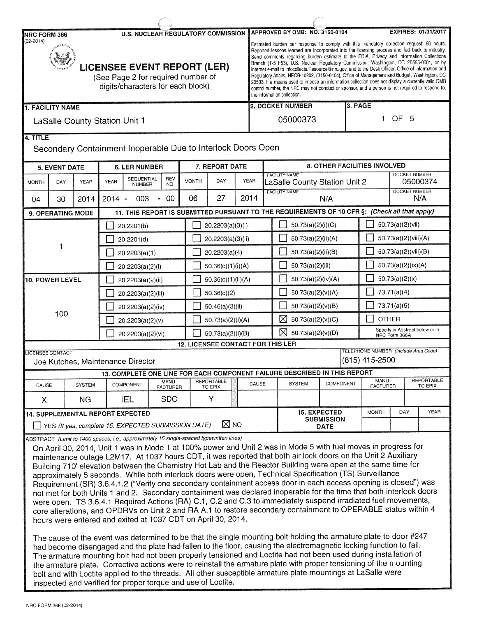| <b>U.S. NUCLEAR REGULATORY COMMISSION</b><br>NRC FORM 366 |                                                                                                               |                                      |                  |                                                                                                                                                         | EXPIRES: 01/31/2017<br>APPROVED BY OMB: NO. 3150-0104 |              |                                          |  |                                                                                                                                                                                                                                                                                                                                                                                                                                                                                                                                                                                                                                                                                                                                                                                                                                   |  |                                                                                                                                                                                                                                                                                                                                                                                                                                                                                                                                                                                                                                                                                                                                                                                                                                                                                                                                                                                                                                                                                                                                                                                                                                                                                                            |                   |                                  |                                      |               |  |                                 |
|-----------------------------------------------------------|---------------------------------------------------------------------------------------------------------------|--------------------------------------|------------------|---------------------------------------------------------------------------------------------------------------------------------------------------------|-------------------------------------------------------|--------------|------------------------------------------|--|-----------------------------------------------------------------------------------------------------------------------------------------------------------------------------------------------------------------------------------------------------------------------------------------------------------------------------------------------------------------------------------------------------------------------------------------------------------------------------------------------------------------------------------------------------------------------------------------------------------------------------------------------------------------------------------------------------------------------------------------------------------------------------------------------------------------------------------|--|------------------------------------------------------------------------------------------------------------------------------------------------------------------------------------------------------------------------------------------------------------------------------------------------------------------------------------------------------------------------------------------------------------------------------------------------------------------------------------------------------------------------------------------------------------------------------------------------------------------------------------------------------------------------------------------------------------------------------------------------------------------------------------------------------------------------------------------------------------------------------------------------------------------------------------------------------------------------------------------------------------------------------------------------------------------------------------------------------------------------------------------------------------------------------------------------------------------------------------------------------------------------------------------------------------|-------------------|----------------------------------|--------------------------------------|---------------|--|---------------------------------|
| $(02 - 2014)$                                             | <b>LICENSEE EVENT REPORT (LER)</b><br>(See Page 2 for required number of<br>digits/characters for each block) |                                      |                  |                                                                                                                                                         |                                                       |              |                                          |  | Estimated burden per response to comply with this mandatory collection request: 80 hours.<br>Reported lessons learned are incorporated into the licensing process and fed back to industry.<br>Send comments regarding burden estimate to the FOIA, Privacy and Information Collections<br>Branch (T-5 F53), U.S. Nuclear Regulatory Commission, Washington, DC 20555-0001, or by<br>internet e-mail to Infocollects. Resource@nrc.gov, and to the Desk Officer, Office of Information and<br>Regulatory Affairs, NEOB-10202, (3150-0104), Office of Management and Budget, Washington, DC<br>20503. If a means used to impose an information collection does not display a currently valid OMB<br>control number, the NRC may not conduct or sponsor, and a person is not required to respond to,<br>the information collection. |  |                                                                                                                                                                                                                                                                                                                                                                                                                                                                                                                                                                                                                                                                                                                                                                                                                                                                                                                                                                                                                                                                                                                                                                                                                                                                                                            |                   |                                  |                                      |               |  |                                 |
| <b>1. FACILITY NAME</b>                                   |                                                                                                               |                                      |                  |                                                                                                                                                         |                                                       |              |                                          |  |                                                                                                                                                                                                                                                                                                                                                                                                                                                                                                                                                                                                                                                                                                                                                                                                                                   |  | 2. DOCKET NUMBER                                                                                                                                                                                                                                                                                                                                                                                                                                                                                                                                                                                                                                                                                                                                                                                                                                                                                                                                                                                                                                                                                                                                                                                                                                                                                           |                   | 3. PAGE                          |                                      |               |  |                                 |
|                                                           |                                                                                                               | <b>LaSalle County Station Unit 1</b> |                  |                                                                                                                                                         |                                                       |              |                                          |  | 05000373                                                                                                                                                                                                                                                                                                                                                                                                                                                                                                                                                                                                                                                                                                                                                                                                                          |  |                                                                                                                                                                                                                                                                                                                                                                                                                                                                                                                                                                                                                                                                                                                                                                                                                                                                                                                                                                                                                                                                                                                                                                                                                                                                                                            |                   | OF <sub>5</sub><br>1.            |                                      |               |  |                                 |
| 4. TITLE                                                  |                                                                                                               |                                      |                  |                                                                                                                                                         |                                                       |              |                                          |  |                                                                                                                                                                                                                                                                                                                                                                                                                                                                                                                                                                                                                                                                                                                                                                                                                                   |  |                                                                                                                                                                                                                                                                                                                                                                                                                                                                                                                                                                                                                                                                                                                                                                                                                                                                                                                                                                                                                                                                                                                                                                                                                                                                                                            |                   |                                  |                                      |               |  |                                 |
|                                                           |                                                                                                               |                                      |                  | Secondary Containment Inoperable Due to Interlock Doors Open                                                                                            |                                                       |              |                                          |  |                                                                                                                                                                                                                                                                                                                                                                                                                                                                                                                                                                                                                                                                                                                                                                                                                                   |  |                                                                                                                                                                                                                                                                                                                                                                                                                                                                                                                                                                                                                                                                                                                                                                                                                                                                                                                                                                                                                                                                                                                                                                                                                                                                                                            |                   |                                  |                                      |               |  |                                 |
|                                                           | <b>5. EVENT DATE</b>                                                                                          |                                      |                  | <b>6. LER NUMBER</b>                                                                                                                                    |                                                       |              | 7. REPORT DATE                           |  |                                                                                                                                                                                                                                                                                                                                                                                                                                                                                                                                                                                                                                                                                                                                                                                                                                   |  |                                                                                                                                                                                                                                                                                                                                                                                                                                                                                                                                                                                                                                                                                                                                                                                                                                                                                                                                                                                                                                                                                                                                                                                                                                                                                                            |                   |                                  | 8. OTHER FACILITIES INVOLVED         |               |  |                                 |
| <b>MONTH</b>                                              | DAY                                                                                                           | <b>YEAR</b>                          | <b>YEAR</b>      | <b>SEQUENTIAL</b><br><b>NUMBER</b>                                                                                                                      | REV<br>NO.                                            | <b>MONTH</b> | DAY                                      |  | <b>FACILITY NAME</b><br>YEAR<br>LaSalle County Station Unit 2                                                                                                                                                                                                                                                                                                                                                                                                                                                                                                                                                                                                                                                                                                                                                                     |  |                                                                                                                                                                                                                                                                                                                                                                                                                                                                                                                                                                                                                                                                                                                                                                                                                                                                                                                                                                                                                                                                                                                                                                                                                                                                                                            |                   | <b>DOCKET NUMBER</b><br>05000374 |                                      |               |  |                                 |
| 04                                                        | 30                                                                                                            | 2014                                 | $2014 -$         | 003                                                                                                                                                     | 00                                                    | 06           | 27                                       |  | 2014                                                                                                                                                                                                                                                                                                                                                                                                                                                                                                                                                                                                                                                                                                                                                                                                                              |  | <b>FACILITY NAME</b>                                                                                                                                                                                                                                                                                                                                                                                                                                                                                                                                                                                                                                                                                                                                                                                                                                                                                                                                                                                                                                                                                                                                                                                                                                                                                       | N/A               |                                  | <b>DOCKET NUMBER</b><br>N/A          |               |  |                                 |
|                                                           | 9. OPERATING MODE                                                                                             |                                      |                  |                                                                                                                                                         |                                                       |              |                                          |  |                                                                                                                                                                                                                                                                                                                                                                                                                                                                                                                                                                                                                                                                                                                                                                                                                                   |  | 11. THIS REPORT IS SUBMITTED PURSUANT TO THE REQUIREMENTS OF 10 CFR §: (Check all that apply)                                                                                                                                                                                                                                                                                                                                                                                                                                                                                                                                                                                                                                                                                                                                                                                                                                                                                                                                                                                                                                                                                                                                                                                                              |                   |                                  |                                      |               |  |                                 |
|                                                           |                                                                                                               |                                      |                  | 20.2201(b)                                                                                                                                              |                                                       |              | 20.2203(a)(3)(i)                         |  |                                                                                                                                                                                                                                                                                                                                                                                                                                                                                                                                                                                                                                                                                                                                                                                                                                   |  | 50.73(a)(2)(i)(C)                                                                                                                                                                                                                                                                                                                                                                                                                                                                                                                                                                                                                                                                                                                                                                                                                                                                                                                                                                                                                                                                                                                                                                                                                                                                                          |                   |                                  | 50.73(a)(2)(vii)                     |               |  |                                 |
| 1                                                         |                                                                                                               |                                      | 20.2201(d)       |                                                                                                                                                         |                                                       |              | 20.2203(a)(3)(ii)                        |  |                                                                                                                                                                                                                                                                                                                                                                                                                                                                                                                                                                                                                                                                                                                                                                                                                                   |  | 50.73(a)(2)(ii)(A)                                                                                                                                                                                                                                                                                                                                                                                                                                                                                                                                                                                                                                                                                                                                                                                                                                                                                                                                                                                                                                                                                                                                                                                                                                                                                         |                   |                                  | 50.73(a)(2)(viii)(A)                 |               |  |                                 |
|                                                           |                                                                                                               |                                      | 20.2203(a)(1)    |                                                                                                                                                         |                                                       |              | 20.2203(a)(4)                            |  |                                                                                                                                                                                                                                                                                                                                                                                                                                                                                                                                                                                                                                                                                                                                                                                                                                   |  | 50.73(a)(2)(ii)(B)                                                                                                                                                                                                                                                                                                                                                                                                                                                                                                                                                                                                                                                                                                                                                                                                                                                                                                                                                                                                                                                                                                                                                                                                                                                                                         |                   |                                  | 50.73(a)(2)(viii)(B)                 |               |  |                                 |
|                                                           | 50.36(c)(1)(i)(A)<br>20.2203(a)(2)(i)                                                                         |                                      |                  |                                                                                                                                                         |                                                       |              |                                          |  | 50.73(a)(2)(iii)                                                                                                                                                                                                                                                                                                                                                                                                                                                                                                                                                                                                                                                                                                                                                                                                                  |  |                                                                                                                                                                                                                                                                                                                                                                                                                                                                                                                                                                                                                                                                                                                                                                                                                                                                                                                                                                                                                                                                                                                                                                                                                                                                                                            |                   | 50.73(a)(2)(ix)(A)               |                                      |               |  |                                 |
|                                                           | <b>10. POWER LEVEL</b>                                                                                        |                                      |                  | 20.2203(a)(2)(ii)                                                                                                                                       |                                                       |              | 50.36(c)(1)(ii)(A)                       |  |                                                                                                                                                                                                                                                                                                                                                                                                                                                                                                                                                                                                                                                                                                                                                                                                                                   |  | 50.73(a)(2)(iv)(A)                                                                                                                                                                                                                                                                                                                                                                                                                                                                                                                                                                                                                                                                                                                                                                                                                                                                                                                                                                                                                                                                                                                                                                                                                                                                                         |                   |                                  | 50.73(a)(2)(x)                       |               |  |                                 |
|                                                           |                                                                                                               |                                      |                  | 20.2203(a)(2)(iii)                                                                                                                                      |                                                       |              | 50.36(c)(2)                              |  |                                                                                                                                                                                                                                                                                                                                                                                                                                                                                                                                                                                                                                                                                                                                                                                                                                   |  | 50.73(a)(2)(v)(A)                                                                                                                                                                                                                                                                                                                                                                                                                                                                                                                                                                                                                                                                                                                                                                                                                                                                                                                                                                                                                                                                                                                                                                                                                                                                                          |                   |                                  | 73.71(a)(4)                          |               |  |                                 |
|                                                           |                                                                                                               |                                      |                  | 20.2203(a)(2)(iv)                                                                                                                                       |                                                       |              | 50.46(a)(3)(ii)                          |  |                                                                                                                                                                                                                                                                                                                                                                                                                                                                                                                                                                                                                                                                                                                                                                                                                                   |  | 50.73(a)(2)(v)(B)                                                                                                                                                                                                                                                                                                                                                                                                                                                                                                                                                                                                                                                                                                                                                                                                                                                                                                                                                                                                                                                                                                                                                                                                                                                                                          |                   |                                  | 73.71(a)(5)                          |               |  |                                 |
|                                                           | 100                                                                                                           |                                      | 20.2203(a)(2)(v) |                                                                                                                                                         |                                                       |              | 50.73(a)(2)(i)(A)                        |  |                                                                                                                                                                                                                                                                                                                                                                                                                                                                                                                                                                                                                                                                                                                                                                                                                                   |  | $\boxtimes$<br>50.73(a)(2)(v)(C)                                                                                                                                                                                                                                                                                                                                                                                                                                                                                                                                                                                                                                                                                                                                                                                                                                                                                                                                                                                                                                                                                                                                                                                                                                                                           |                   |                                  | <b>OTHER</b>                         |               |  |                                 |
|                                                           |                                                                                                               |                                      |                  | 20.2203(a)(2)(vi)                                                                                                                                       |                                                       |              | 50.73(a)(2)(i)(B)                        |  |                                                                                                                                                                                                                                                                                                                                                                                                                                                                                                                                                                                                                                                                                                                                                                                                                                   |  | ⊠<br>50.73(a)(2)(v)(D)                                                                                                                                                                                                                                                                                                                                                                                                                                                                                                                                                                                                                                                                                                                                                                                                                                                                                                                                                                                                                                                                                                                                                                                                                                                                                     |                   |                                  |                                      | NRC Form 366A |  | Specify in Abstract below or in |
|                                                           |                                                                                                               |                                      |                  |                                                                                                                                                         |                                                       |              | <b>12. LICENSEE CONTACT FOR THIS LER</b> |  |                                                                                                                                                                                                                                                                                                                                                                                                                                                                                                                                                                                                                                                                                                                                                                                                                                   |  |                                                                                                                                                                                                                                                                                                                                                                                                                                                                                                                                                                                                                                                                                                                                                                                                                                                                                                                                                                                                                                                                                                                                                                                                                                                                                                            |                   |                                  | TELEPHONE NUMBER (Include Area Code) |               |  |                                 |
|                                                           | <b>ICENSEE CONTACT</b>                                                                                        |                                      |                  | Joe Kutches, Maintenance Director                                                                                                                       |                                                       |              |                                          |  |                                                                                                                                                                                                                                                                                                                                                                                                                                                                                                                                                                                                                                                                                                                                                                                                                                   |  |                                                                                                                                                                                                                                                                                                                                                                                                                                                                                                                                                                                                                                                                                                                                                                                                                                                                                                                                                                                                                                                                                                                                                                                                                                                                                                            |                   |                                  | (815) 415-2500                       |               |  |                                 |
|                                                           |                                                                                                               |                                      |                  |                                                                                                                                                         |                                                       |              |                                          |  |                                                                                                                                                                                                                                                                                                                                                                                                                                                                                                                                                                                                                                                                                                                                                                                                                                   |  | 13. COMPLETE ONE LINE FOR EACH COMPONENT FAILURE DESCRIBED IN THIS REPORT                                                                                                                                                                                                                                                                                                                                                                                                                                                                                                                                                                                                                                                                                                                                                                                                                                                                                                                                                                                                                                                                                                                                                                                                                                  |                   |                                  |                                      |               |  |                                 |
| CAUSE                                                     |                                                                                                               | <b>SYSTEM</b>                        |                  | COMPONENT                                                                                                                                               | MANU-<br><b>FACTURER</b>                              |              | REPORTABLE<br>TO EPIX                    |  | CAUSE                                                                                                                                                                                                                                                                                                                                                                                                                                                                                                                                                                                                                                                                                                                                                                                                                             |  | <b>SYSTEM</b>                                                                                                                                                                                                                                                                                                                                                                                                                                                                                                                                                                                                                                                                                                                                                                                                                                                                                                                                                                                                                                                                                                                                                                                                                                                                                              | COMPONENT         |                                  | MANU-<br><b>FACTURER</b>             |               |  | REPORTABLE<br>TO EPIX           |
| X.                                                        |                                                                                                               | ΝG                                   |                  | IEL                                                                                                                                                     | <b>SDC</b>                                            |              | Υ                                        |  |                                                                                                                                                                                                                                                                                                                                                                                                                                                                                                                                                                                                                                                                                                                                                                                                                                   |  |                                                                                                                                                                                                                                                                                                                                                                                                                                                                                                                                                                                                                                                                                                                                                                                                                                                                                                                                                                                                                                                                                                                                                                                                                                                                                                            |                   |                                  |                                      |               |  |                                 |
|                                                           |                                                                                                               |                                      |                  | <b>14. SUPPLEMENTAL REPORT EXPECTED</b>                                                                                                                 |                                                       |              |                                          |  |                                                                                                                                                                                                                                                                                                                                                                                                                                                                                                                                                                                                                                                                                                                                                                                                                                   |  | <b>15. EXPECTED</b>                                                                                                                                                                                                                                                                                                                                                                                                                                                                                                                                                                                                                                                                                                                                                                                                                                                                                                                                                                                                                                                                                                                                                                                                                                                                                        | <b>SUBMISSION</b> |                                  | <b>MONTH</b>                         | DAY           |  | <b>YEAR</b>                     |
|                                                           |                                                                                                               |                                      |                  | YES (If yes, complete 15. EXPECTED SUBMISSION DATE)                                                                                                     |                                                       |              | $\boxtimes$ NO                           |  |                                                                                                                                                                                                                                                                                                                                                                                                                                                                                                                                                                                                                                                                                                                                                                                                                                   |  |                                                                                                                                                                                                                                                                                                                                                                                                                                                                                                                                                                                                                                                                                                                                                                                                                                                                                                                                                                                                                                                                                                                                                                                                                                                                                                            | <b>DATE</b>       |                                  |                                      |               |  |                                 |
|                                                           |                                                                                                               |                                      |                  | ABSTRACT (Limit to 1400 spaces, i.e., approximately 15 single-spaced typewritten lines)<br>hours were entered and exited at 1037 CDT on April 30, 2014. |                                                       |              |                                          |  |                                                                                                                                                                                                                                                                                                                                                                                                                                                                                                                                                                                                                                                                                                                                                                                                                                   |  | On April 30, 2014, Unit 1 was in Mode 1 at 100% power and Unit 2 was in Mode 5 with fuel moves in progress for<br>maintenance outage L2M17. At 1037 hours CDT, it was reported that both air lock doors on the Unit 2 Auxiliary<br>Building 710' elevation between the Chemistry Hot Lab and the Reactor Building were open at the same time for<br>approximately 5 seconds. While both interlock doors were open, Technical Specification (TS) Surveillance<br>Requirement (SR) 3.6.4.1.2 ("Verify one secondary containment access door in each access opening is closed") was<br>not met for both Units 1 and 2. Secondary containment was declared inoperable for the time that both interlock doors<br>were open. TS 3.6.4.1 Required Actions (RA) C.1, C.2 and C.3 to immediately suspend irradiated fuel movements,<br>core alterations, and OPDRVs on Unit 2 and RA A.1 to restore secondary containment to OPERABLE status within 4<br>The cause of the event was determined to be that the single mounting bolt holding the armature plate to door #247<br>had become disengaged and the plate had fallen to the floor, causing the electromagnetic locking function to fail.<br>The armature mounting bolt had not been properly tensioned and Loctite had not been used during installation of |                   |                                  |                                      |               |  |                                 |

the armature plate. Corrective actions were to reinstall the armature plate with proper tensioning of the mounting bolt and with Loctite applied to the threads. All other susceptible armature plate mountings at LaSalle were inspected and verified for proper torque and use of Loctite.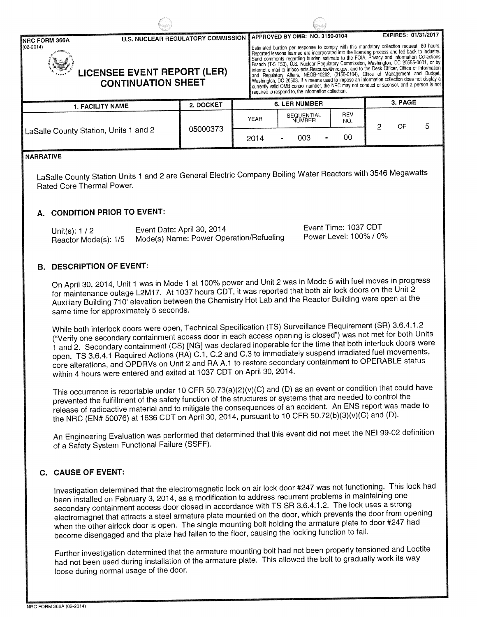| <b>INRC FORM 366A</b>                                                            | <b>U.S. NUCLEAR REGULATORY COMMISSION</b> |                                                                                                                                                                                                                                                                                                                                                                                                                                                                                                                                                                                                                                                                                                                                                                                                                                   | <b>APPROVED BY OMB: NO. 3150-0104</b> |            | <b>EXPIRES: 01/31/2017</b> |   |  |  |
|----------------------------------------------------------------------------------|-------------------------------------------|-----------------------------------------------------------------------------------------------------------------------------------------------------------------------------------------------------------------------------------------------------------------------------------------------------------------------------------------------------------------------------------------------------------------------------------------------------------------------------------------------------------------------------------------------------------------------------------------------------------------------------------------------------------------------------------------------------------------------------------------------------------------------------------------------------------------------------------|---------------------------------------|------------|----------------------------|---|--|--|
| $(02 - 2014)$<br><b>LICENSEE EVENT REPORT (LER)</b><br><b>CONTINUATION SHEET</b> |                                           | Estimated burden per response to comply with this mandatory collection request: 80 hours.<br>Reported lessons learned are incorporated into the licensing process and fed back to industry.<br>Send comments regarding burden estimate to the FOIA, Privacy and Information Collections<br>Branch (T-5 F53), U.S. Nuclear Regulatory Commission, Washington, DC 20555-0001, or by<br>internet e-mail to infocollects.Resource@nrc.gov, and to the Desk Officer, Office of Information<br>and Regulatory Affairs, NEOB-10202, (3150-0104), Office of Management and Budget  <br>Washington, DC 20503. If a means used to impose an information collection does not display a<br>currently valid OMB control number, the NRC may not conduct or sponsor, and a person is not<br>required to respond to, the information collection. |                                       |            |                            |   |  |  |
| <b>1. FACILITY NAME</b>                                                          | 2. DOCKET                                 |                                                                                                                                                                                                                                                                                                                                                                                                                                                                                                                                                                                                                                                                                                                                                                                                                                   | <b>6. LER NUMBER</b>                  |            | 3. PAGE                    |   |  |  |
|                                                                                  |                                           | <b>YEAR</b>                                                                                                                                                                                                                                                                                                                                                                                                                                                                                                                                                                                                                                                                                                                                                                                                                       | <b>SEQUENTIAL</b><br>NUMBER           | REV<br>NO. | OF<br>2                    | 5 |  |  |
| LaSalle County Station, Units 1 and 2                                            | 05000373                                  | 2014                                                                                                                                                                                                                                                                                                                                                                                                                                                                                                                                                                                                                                                                                                                                                                                                                              | 003                                   | 00         |                            |   |  |  |
| ENADDATIVE                                                                       |                                           |                                                                                                                                                                                                                                                                                                                                                                                                                                                                                                                                                                                                                                                                                                                                                                                                                                   |                                       |            |                            |   |  |  |

#### **NARRATIVE**

LaSalle County Station Units 1 and 2 are General Electric Company Boiling Water Reactors with 3546 Megawatts Rated Core Thermal Power.

# **A. CONDITION PRIOR TO EVENT:**

| Unit(s): $1/2$       | Event Date: April 30, 2014              | Event Time: 1037 CDT   |
|----------------------|-----------------------------------------|------------------------|
| Reactor Mode(s): 1/5 | Mode(s) Name: Power Operation/Refueling | Power Level: 100% / 0% |

# **B. DESCRIPTION OF EVENT:**

On April 30, 2014, Unit 1 was in Mode 1 at 100% power and Unit 2 was in Mode 5 with fuel moves in progress<br>for maintenance outage L2M17. At 1037 hours CDT, it was reported that both air lock doors on the Unit 2<br>Auxiliary B same time for approximately 5 seconds.

While both interlock doors were open, Technical Specification (TS) Surveillance Requirement (SR) 3.6.4.1.2 ("Verify one secondary containment access door in each access opening is closed") was not met for both Units 1 and 2. Secondary containment (CS) [NG] was declared inoperable for the time that both interlock doors were open. TS 3.6.4.1 Required Actions (RA) C.1, C.2 and C.3 to immediately suspend irradiated fuel movements, core alterations, and OPDRVs on Unit 2 and RA A.1 to restore secondary containment to OPERABLE status within 4 hours were entered and exited at 1037 CDT on April 30, 2014.

This occurrence is reportable under 10 CFR 50.73(a)(2)(v)(C) and (D) as an event or condition that could have release of radioactive material and to mitigate the consequences of an accident. An ENS report was made to<br>the NRC (EN# 50076) at 1636 CDT on April 30, 2014, pursuant to 10 CFR 50.72(b)(3)(v)(C) and (D).

An Engineering Evaluation was performed that determined that this event did not meet the NEI 99-02 definition of a Safety System Functional Failure (SSFF).

# **C. CAUSE OF EVENT:**

Investigation determined that the electromagnetic lock on air lock door #247 was not functioning. This lock had<br>been installed on February 3, 2014, as a modification to address recurrent problems in maintaining one<br>seconda when the other airlock door is open. The single mounting bolt holding the armature plate to door #247 had<br>become disengaged and the plate had fallen to the floor, causing the locking function to fail.

Further investigation determined that the armature mounting bolt had not been properly tensioned and Loctite had not been used during installation of the armature plate. This allowed the bolt to gradually work its way loose during normal usage of the door.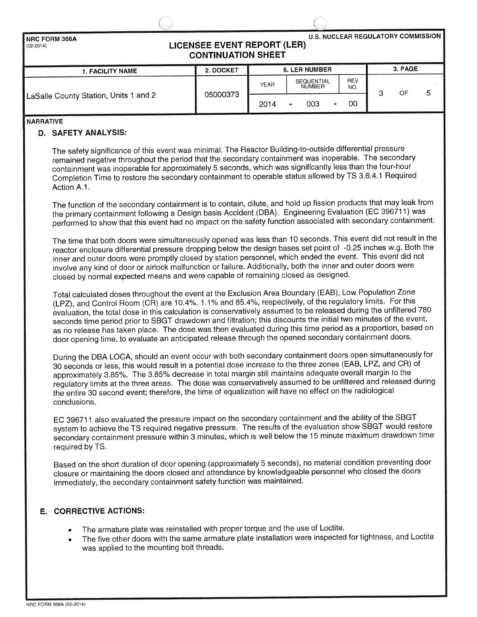| <b>U.S. NUCLEAR REGULATORY COMMISSION</b><br><b>INRC FORM 366A</b><br><b>LICENSEE EVENT REPORT (LER)</b><br>$(02 - 2014)$<br><b>CONTINUATION SHEET</b> |           |             |                             |                   |  |         |  |  |  |  |
|--------------------------------------------------------------------------------------------------------------------------------------------------------|-----------|-------------|-----------------------------|-------------------|--|---------|--|--|--|--|
| <b>1. FACILITY NAME</b>                                                                                                                                | 2. DOCKET |             |                             |                   |  | 3. PAGE |  |  |  |  |
|                                                                                                                                                        |           | <b>YEAR</b> | <b>SEQUENTIAL</b><br>NUMBER | <b>REV</b><br>NO. |  | OF      |  |  |  |  |
| LaSalle County Station, Units 1 and 2                                                                                                                  | 05000373  | 2014        | 003                         | 00                |  |         |  |  |  |  |

**NARRATIVE**

### D. SAFETY ANALYSIS:

The safety significance of this event was minimal. The Reactor Building-to-outside differential pressure remained negative throughout the period that the secondary containment was inoperable. The secondary containment was inoperable for approximately 5 seconds, which was significantly less than the four-hour Completion Time to restore the secondary containment to operable status allowed by TS 3.6.4.1 Required Action A.1.

The function of the secondary containment is to contain, dilute, and hold up fission products that may leak from the primary containment following a Design basis Accident (DBA). Engineering Evaluation (EC 396711) was performed to show that this event had no impact on the safety function associated with secondary containment.

The time that both doors were simultaneously opened was less than 10 seconds. This event did not result in the reactor enclosure differential pressure dropping below the design bases set point of -0.25 inches w.g. Both the inner and outer doors were promptly closed by station personnel, which ended the event. This event did not involve any kind of door or airlock malfunction or failure. Additionally, both the inner and outer doors were closed by normal expected means and were capable of remaining closed as designed.

Total calculated doses throughout the event at the Exclusion Area Boundary (EAB), Low Population Zone (LPZ), and Control Room (CR) are 10.4%, 1.1% and 85.4%, respectively, of the regulatory limits. For this evaluation, the total dose in this calculation is conservatively assumed to be released during the unfiltered 780 seconds time period prior to SBGT drawdown and filtration; this discounts the initial two minutes of the event, as no release has taken place. The dose was then evaluated during this time period as a proportion, based on door opening time, to evaluate an anticipated release through the opened secondary containment doors.

During the DBA LOCA, should an event occur with both secondary containment doors open simultaneously for 30 seconds or less, this would result in a potential dose increase to the three zones (EAB, LPZ, and CR) of approximately 3.85%. The 3.85% decrease in total margin still maintains adequate overall margin to the regulatory limits at the three areas. The dose was conservatively assumed to be unfiltered and released during the entire 30 second event; therefore, the time of equalization will have no effect on the radiological conclusions.

EC 396711 also evaluated the pressure impact on the secondary containment and the ability of the SBGT system to achieve the TS required negative pressure. The results of the evaluation show SBGT would restore secondary containment pressure within 3 minutes, which is well below the 15 minute maximum drawdown time required by TS.

Based on the short duration of door opening (approximately 5 seconds), no material condition preventing door closure or maintaining the doors closed and attendance by knowledgeable personnel who closed the doors immediately, the secondary containment safety function was maintained.

### **E. CORRECTIVE** ACTIONS:

- The armature plate was reinstalled with proper torque and the use of Loctite.
- The five other doors with the same armature plate installation were inspected for tightness, and Loctite was applied to the mounting bolt threads.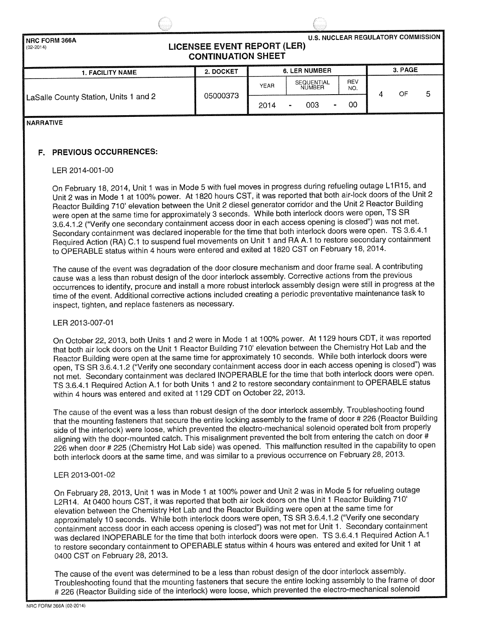

**NARRATIVE**

### **F. PREVIOUS OCCURRENCES:**

#### LER 2014-001-00

On February 18, 2014, Unit 1 was in Mode 5 with fuel moves in progress during refueling outage L1 R15, and Unit 2 was in Mode 1 at 100% power. At 1820 hours CST, it was reported that both air-lock doors of the Unit 2 Reactor Building 710' elevation between the Unit 2 diesel generator corridor and the Unit 2 Reactor Building were open at the same time for approximately 3 seconds. While both interlock doors were open, TS SR 3.6.4.1.2 ("Verify one secondary containment access door in each access opening is closed") was not met. Secondary containment was declared inoperable for the time that both interlock doors were open. TS 3.6.4.1 Required Action (RA) C.1 to suspend fuel movements on Unit 1 and RA A.1 to restore secondary containment to OPERABLE status within 4 hours were entered and exited at 1820 CST on February 18, 2014.

The cause of the event was degradation of the door closure mechanism and door frame seal. A contributing cause was a less than robust design of the door interlock assembly. Corrective actions from the previous occurrences to identify, procure and install a more robust interlock assembly design were still in progress at the time of the event. Additional corrective actions included creating a periodic preventative maintenance task to inspect, tighten, and replace fasteners as necessary.

#### LER 2013-007-01

On October 22, 2013, both Units 1 and 2 were in Mode 1 at 100% power. At 1129 hours CDT, it was reported that both air lock doors on the Unit 1 Reactor Building 710' elevation between the Chemistry Hot Lab and the Reactor Building were open at the same time for approximately 10 seconds. While both interlock doors were open, TS SR 3.6.4.1.2 ("Verify one secondary containment access door in each access opening is closed") was not met. Secondary containment was declared INOPERABLE for the time that both interlock doors were open. TS 3.6.4.1 Required Action A.1 for both Units 1 and 2 to restore secondary containment to OPERABLE status within 4 hours was entered and exited at 1129 CDT on October 22, 2013.

The cause of the event was a less than robust design of the door interlock assembly. Troubleshooting found<br>that the mounting fasteners that secure the entire locking assembly to the frame of door # 226 (Reactor Building side of the interlock) were loose, which prevented the electro-mechanical solenoid operated bolt from properly aligning with the door-mounted catch. This misalignment prevented the bolt from entering the catch on door # 226 when door # 225 (Chemistry Hot Lab side) was opened. This malfunction resulted in the capability to open both interlock doors at the same time, and was similar to a previous occurrence on February 28, 2013.

#### LER 2013-001-02

On February 28, 2013, Unit 1 was in Mode 1 at 100% power and Unit 2 was in Mode 5 for refueling outage L2R1 4. At 0400 hours CST, it was reported that both air lock doors on the Unit 1 Reactor Building 710' elevation between the Chemistry Hot Lab and the Reactor Building were open at the same time for approximately 10 seconds. While both interlock doors were open, TS SR 3.6.4.1.2 ("Verify one secondary containment access door in each access opening is closed") was not met for Unit 1. Secondary containment was declared INOPERABLE for the time that both interlock doors were open. TS 3.6.4.1 Required Action A.1 to restore secondary containment to OPERABLE status within 4 hours was entered and exited for Unit 1 at 0400 CST on February 28, 2013.

The cause of the event was determined to be a less than robust design of the door interlock assembly. Troubleshooting found that the mounting fasteners that secure the entire locking assembly to the frame of door # 226 (Reactor Building side of the interlock) were loose, which prevented the electro-mechanical solenoid